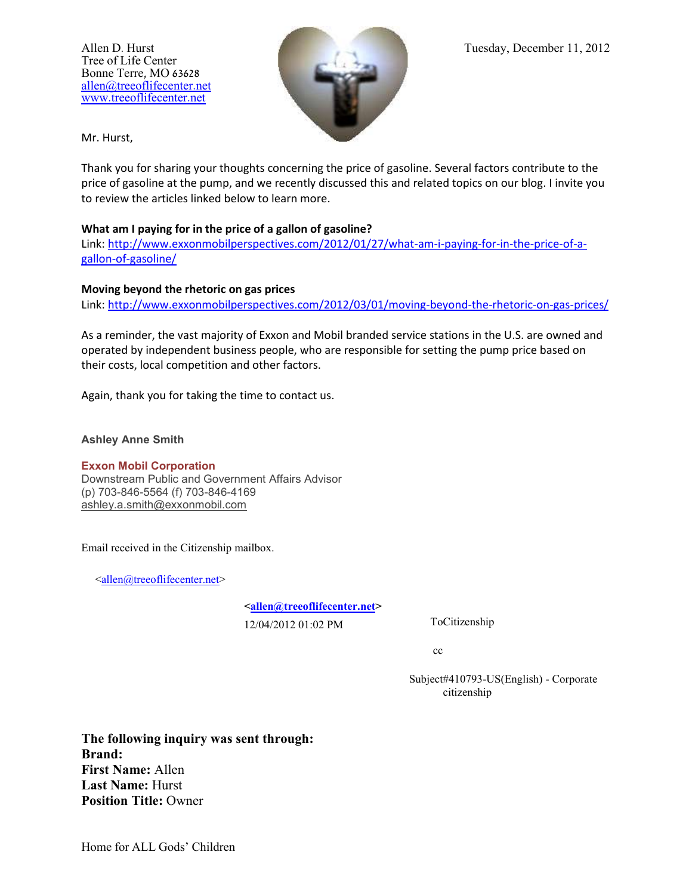Tree of Life Center Bonne Terre, MO 63628 [allen@treeoflifecenter.net](mailto:allen@treeoflifecenter.net) [www.treeoflifecenter.net](http://www.treeoflifecenter.net/)



Mr. Hurst,

Thank you for sharing your thoughts concerning the price of gasoline. Several factors contribute to the price of gasoline at the pump, and we recently discussed this and related topics on our blog. I invite you to review the articles linked below to learn more.

## **What am I paying for in the price of a gallon of gasoline?**

Link: [http://www.exxonmobilperspectives.com/2012/01/27/what-am-i-paying-for-in-the-price-of-a](http://www.exxonmobilperspectives.com/2012/01/27/what-am-i-paying-for-in-the-price-of-a-gallon-of-gasoline/)[gallon-of-gasoline/](http://www.exxonmobilperspectives.com/2012/01/27/what-am-i-paying-for-in-the-price-of-a-gallon-of-gasoline/)

## **Moving beyond the rhetoric on gas prices**

Link:<http://www.exxonmobilperspectives.com/2012/03/01/moving-beyond-the-rhetoric-on-gas-prices/>

As a reminder, the vast majority of Exxon and Mobil branded service stations in the U.S. are owned and operated by independent business people, who are responsible for setting the pump price based on their costs, local competition and other factors.

Again, thank you for taking the time to contact us.

## **Ashley Anne Smith**

## **Exxon Mobil Corporation**

Downstream Public and Government Affairs Advisor (p) 703-846-5564 (f) 703-846-4169 [ashley.a.smith@exxonmobil.com](mailto:ashley.a.smith@exxonmobil.com)

Email received in the Citizenship mailbox.

 $\leq$ allen@treeoflifecenter.net>

**[<allen@treeoflifecenter.net>](mailto:allen@treeoflifecenter.net)**

12/04/2012 01:02 PM ToCitizenship

cc

Subject#410793-US(English) - Corporate citizenship

**The following inquiry was sent through: Brand: First Name:** Allen **Last Name:** Hurst **Position Title:** Owner

Home for ALL Gods' Children